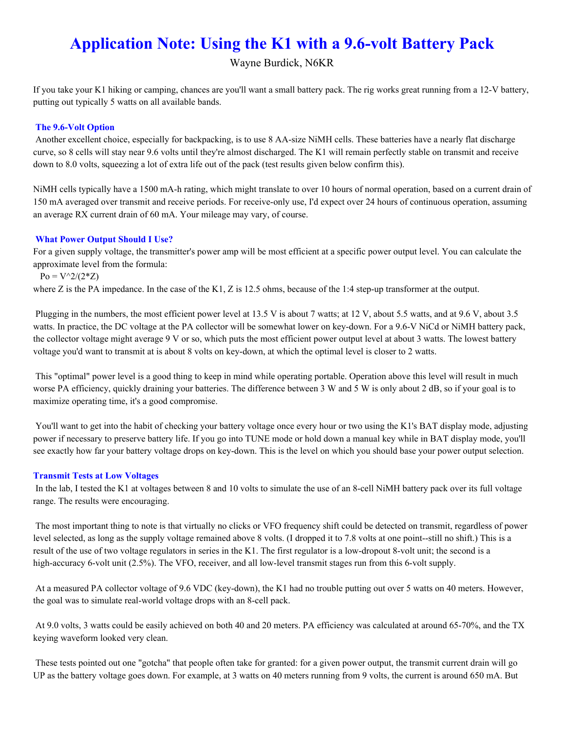# **Application Note: Using the K1 with a 9.6-volt Battery Pack**

Wayne Burdick, N6KR

If you take your K1 hiking or camping, chances are you'll want a small battery pack. The rig works great running from a 12-V battery, putting out typically 5 watts on all available bands.

## **The 9.6-Volt Option**

Another excellent choice, especially for backpacking, is to use 8 AA-size NiMH cells. These batteries have a nearly flat discharge curve, so 8 cells will stay near 9.6 volts until they're almost discharged. The K1 will remain perfectly stable on transmit and receive down to 8.0 volts, squeezing a lot of extra life out of the pack (test results given below confirm this).

NiMH cells typically have a 1500 mA-h rating, which might translate to over 10 hours of normal operation, based on a current drain of 150 mA averaged over transmit and receive periods. For receive-only use, I'd expect over 24 hours of continuous operation, assuming an average RX current drain of 60 mA. Your mileage may vary, of course.

### **What Power Output Should I Use?**

For a given supply voltage, the transmitter's power amp will be most efficient at a specific power output level. You can calculate the approximate level from the formula:

 $P_0 = V^2/(2^*Z)$ 

where Z is the PA impedance. In the case of the K1, Z is 12.5 ohms, because of the 1:4 step-up transformer at the output.

Plugging in the numbers, the most efficient power level at 13.5 V is about 7 watts; at 12 V, about 5.5 watts, and at 9.6 V, about 3.5 watts. In practice, the DC voltage at the PA collector will be somewhat lower on key-down. For a 9.6-V NiCd or NiMH battery pack, the collector voltage might average 9 V or so, which puts the most efficient power output level at about 3 watts. The lowest battery voltage you'd want to transmit at is about 8 volts on key-down, at which the optimal level is closer to 2 watts.

This "optimal" power level is a good thing to keep in mind while operating portable. Operation above this level will result in much worse PA efficiency, quickly draining your batteries. The difference between 3 W and 5 W is only about 2 dB, so if your goal is to maximize operating time, it's a good compromise.

You'll want to get into the habit of checking your battery voltage once every hour or two using the K1's BAT display mode, adjusting power if necessary to preserve battery life. If you go into TUNE mode or hold down a manual key while in BAT display mode, you'll see exactly how far your battery voltage drops on key-down. This is the level on which you should base your power output selection.

#### **Transmit Tests at Low Voltages**

In the lab, I tested the K1 at voltages between 8 and 10 volts to simulate the use of an 8-cell NiMH battery pack over its full voltage range. The results were encouraging.

The most important thing to note is that virtually no clicks or VFO frequency shift could be detected on transmit, regardless of power level selected, as long as the supply voltage remained above 8 volts. (I dropped it to 7.8 volts at one point--still no shift.) This is a result of the use of two voltage regulators in series in the K1. The first regulator is a low-dropout 8-volt unit; the second is a high-accuracy 6-volt unit (2.5%). The VFO, receiver, and all low-level transmit stages run from this 6-volt supply.

At a measured PA collector voltage of 9.6 VDC (key-down), the K1 had no trouble putting out over 5 watts on 40 meters. However, the goal was to simulate real-world voltage drops with an 8-cell pack.

At 9.0 volts, 3 watts could be easily achieved on both 40 and 20 meters. PA efficiency was calculated at around 65-70%, and the TX keying waveform looked very clean.

These tests pointed out one "gotcha" that people often take for granted: for a given power output, the transmit current drain will go UP as the battery voltage goes down. For example, at 3 watts on 40 meters running from 9 volts, the current is around 650 mA. But